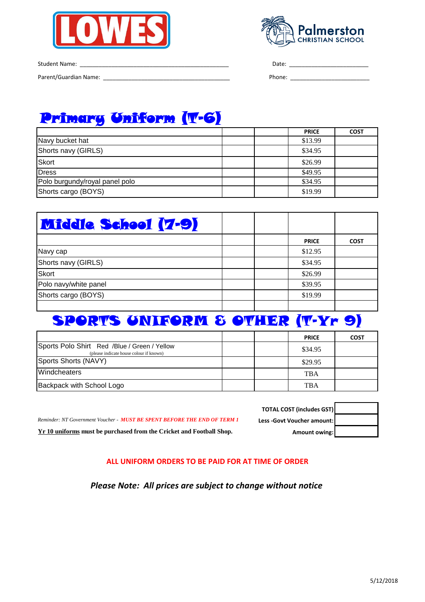



Student Name: \_\_\_\_\_\_\_\_\_\_\_\_\_\_\_\_\_\_\_\_\_\_\_\_\_\_\_\_\_\_\_\_\_\_\_\_\_\_\_\_\_\_\_\_\_\_\_ Date: \_\_\_\_\_\_\_\_\_\_\_\_\_\_\_\_\_\_\_\_\_\_\_\_\_

Parent/Guardian Name: \_\_\_\_\_\_\_\_\_\_\_\_\_\_\_\_\_\_\_\_\_\_\_\_\_\_\_\_\_\_\_\_\_\_\_\_\_\_\_\_ Phone: \_\_\_\_\_\_\_\_\_\_\_\_\_\_\_\_\_\_\_\_\_\_\_\_\_

# Primary Uniform (T-6)

|                                |  | <b>PRICE</b> | <b>COST</b> |
|--------------------------------|--|--------------|-------------|
| Navy bucket hat                |  | \$13.99      |             |
| Shorts navy (GIRLS)            |  | \$34.95      |             |
| <b>Skort</b>                   |  | \$26.99      |             |
| Dress                          |  | \$49.95      |             |
| Polo burgundy/royal panel polo |  | \$34.95      |             |
| Shorts cargo (BOYS)            |  | \$19.99      |             |

| <b>Middle School (7-9)</b> |  |              |             |
|----------------------------|--|--------------|-------------|
|                            |  | <b>PRICE</b> | <b>COST</b> |
| Navy cap                   |  | \$12.95      |             |
| Shorts navy (GIRLS)        |  | \$34.95      |             |
| <b>Skort</b>               |  | \$26.99      |             |
| Polo navy/white panel      |  | \$39.95      |             |
| Shorts cargo (BOYS)        |  | \$19.99      |             |
|                            |  |              |             |

# SPORTS UNIFORM & OTHER (T-Yr 9)

|                                                                                         |  | <b>PRICE</b> | <b>COST</b> |
|-----------------------------------------------------------------------------------------|--|--------------|-------------|
| Sports Polo Shirt Red /Blue / Green / Yellow<br>(please indicate house colour if known) |  | \$34.95      |             |
| Sports Shorts (NAVY)                                                                    |  | \$29.95      |             |
| <b>Windcheaters</b>                                                                     |  | <b>TBA</b>   |             |
| Backpack with School Logo                                                               |  | <b>TBA</b>   |             |

| Reminder: NT Government Voucher - MUST BE SPENT BEFORE THE END OF TERM 1 | Less -Govt Voucher amount: |
|--------------------------------------------------------------------------|----------------------------|
| Y r 10 uniforms must be purchased from the Cricket and Football Shop.    | <b>Amount owing:</b>       |

| <b>TOTAL COST (includes GST)</b> |  |
|----------------------------------|--|
| Less - Govt Voucher amount:      |  |
| <b>Amount owing:</b>             |  |

#### **ALL UNIFORM ORDERS TO BE PAID FOR AT TIME OF ORDER**

*Please Note: All prices are subject to change without notice*